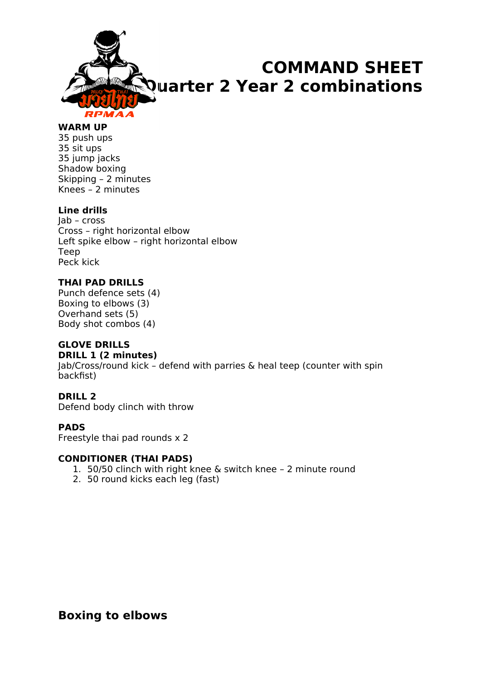

#### **WARM UP**

35 push ups 35 sit ups 35 jump jacks Shadow boxing Skipping – 2 minutes Knees – 2 minutes

#### **Line drills**

Jab – cross Cross – right horizontal elbow Left spike elbow – right horizontal elbow Teep Peck kick

#### **THAI PAD DRILLS**

Punch defence sets (4) Boxing to elbows (3) Overhand sets (5) Body shot combos (4)

#### **GLOVE DRILLS**

#### **DRILL 1 (2 minutes)**

Jab/Cross/round kick – defend with parries & heal teep (counter with spin backfist)

#### **DRILL 2**

Defend body clinch with throw

#### **PADS**

Freestyle thai pad rounds x 2

#### **CONDITIONER (THAI PADS)**

- 1. 50/50 clinch with right knee & switch knee 2 minute round
- 2. 50 round kicks each leg (fast)

### **Boxing to elbows**